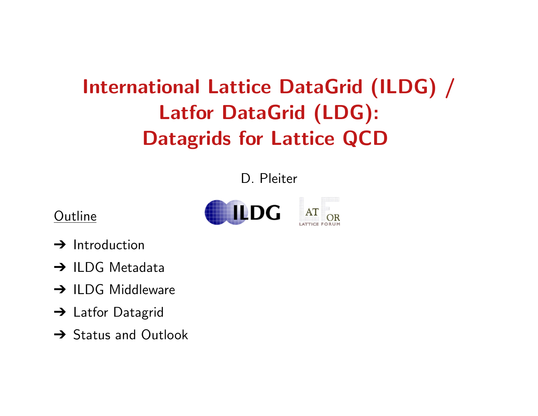# International Lattice DataGrid (ILDG) / Latfor DataGrid (LDG): Datagrids for Lattice QCD

D. Pleiter





- $\rightarrow$  Introduction
- → ILDG Metadata
- **→ ILDG Middleware**
- → Latfor Datagrid
- **→ Status and Outlook**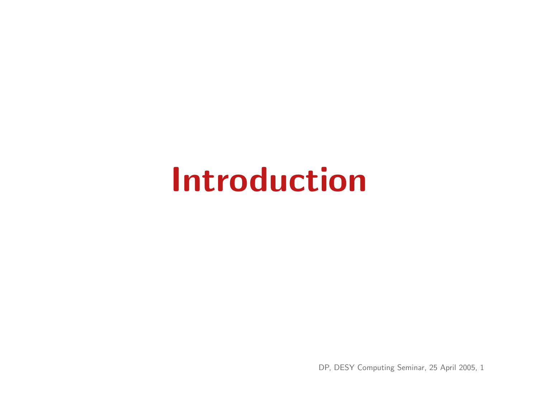# Introduction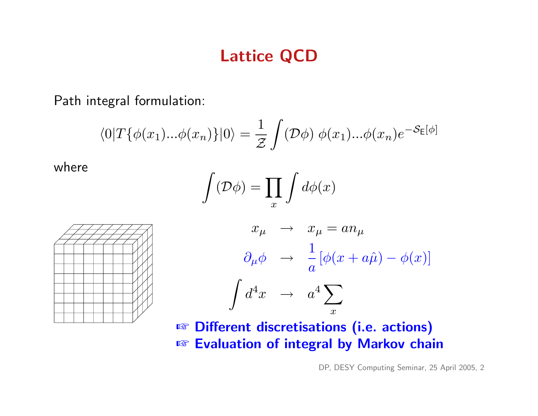### Lattice QCD

Path integral formulation:

$$
\langle 0|T\{\phi(x_1)... \phi(x_n)\}|0\rangle = \frac{1}{\mathcal{Z}}\int (\mathcal{D}\phi) \ \phi(x_1)... \phi(x_n)e^{-\mathcal{S}_E[\phi]}
$$

where

$$
\int(\mathcal{D}\phi)=\prod_x\int d\phi(x)
$$





**☞ Different discretisations (i.e. actions) ☞ Evaluation of integral by Markov chain**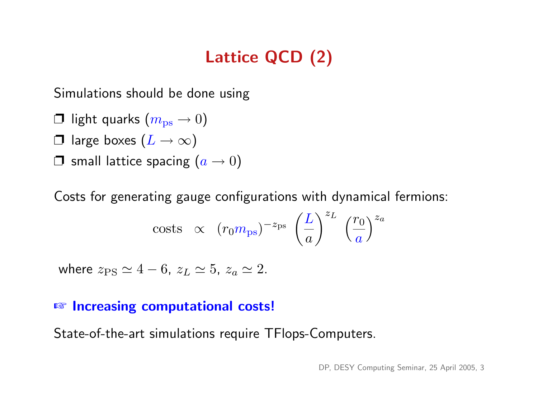# Lattice QCD (2)

Simulations should be done using

- $\Box$  light quarks  $(m_{\rm ps} \rightarrow 0)$
- $\Box$  large boxes  $(L \rightarrow \infty)$
- $\Box$  small lattice spacing  $(a \rightarrow 0)$

Costs for generating gauge configurations with dynamical fermions:

costs 
$$
\propto (r_0 m_{\text{ps}})^{-z_{\text{ps}}} \left(\frac{L}{a}\right)^{z_L} \left(\frac{r_0}{a}\right)^{z_a}
$$

where  $z_{PS} \simeq 4 - 6$ ,  $z_L \simeq 5$ ,  $z_a \simeq 2$ .

#### **☞ Increasing computational costs!**

State-of-the-art simulations require TFlops-Computers.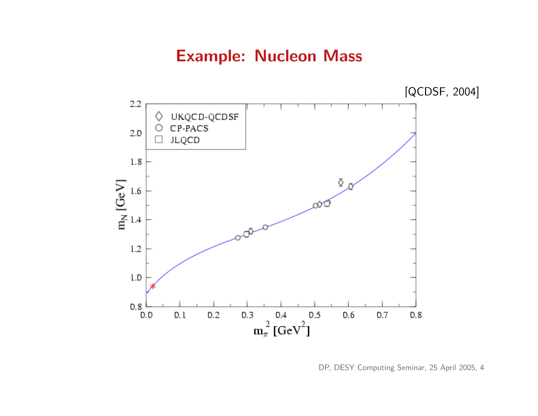## Example: Nucleon Mass



DP, DESY Computing Seminar, 25 April 2005, 4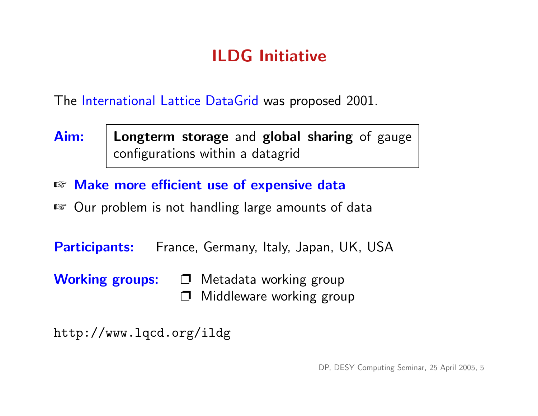# ILDG Initiative

The International Lattice DataGrid was proposed 2001.

- Aim: | Longterm storage and global sharing of gauge configurations within a datagrid
- ☞ Make more efficient use of expensive data
- Our problem is not handling large amounts of data

Participants: France, Germany, Italy, Japan, UK, USA

Working groups:  $\Box$  Metadata working group Middleware working group

http://www.lqcd.org/ildg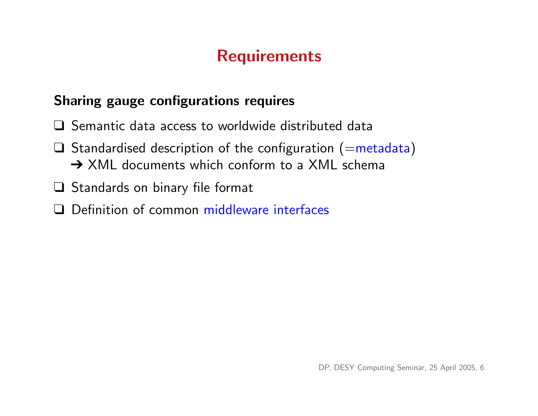## **Requirements**

#### Sharing gauge configurations requires

- ❑ Semantic data access to worldwide distributed data
- $\Box$  Standardised description of the configuration (=metadata) → XML documents which conform to a XML schema
- ❑ Standards on binary file format
- ❑ Definition of common middleware interfaces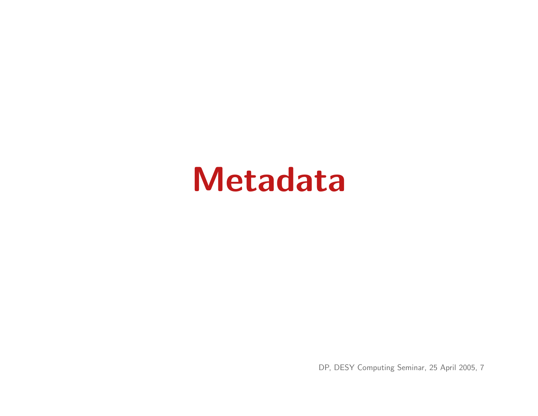# Metadata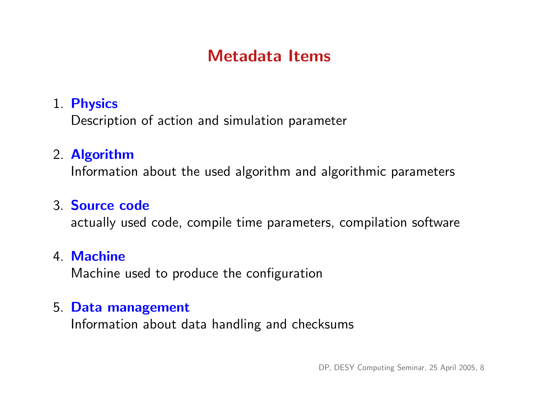## Metadata Items

#### 1. Physics

Description of action and simulation parameter

#### 2. Algorithm

Information about the used algorithm and algorithmic parameters

#### 3. Source code

actually used code, compile time parameters, compilation software

#### 4. Machine

Machine used to produce the configuration

#### 5. Data management

Information about data handling and checksums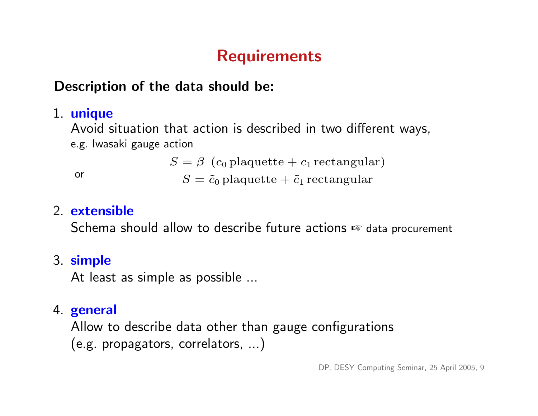# **Requirements**

#### Description of the data should be:

#### 1. unique

Avoid situation that action is described in two different ways, e.g. Iwasaki gauge action

 $S = \beta$  (c<sub>0</sub> plaquette + c<sub>1</sub> rectangular)

or  $S = \tilde{c}_0$  plaquette  $\tilde{c}_1$  rectangular

#### 2. extensible

Schema should allow to describe future actions ☞ data procurement

#### 3. simple

At least as simple as possible ...

#### 4. general

Allow to describe data other than gauge configurations (e.g. propagators, correlators, ...)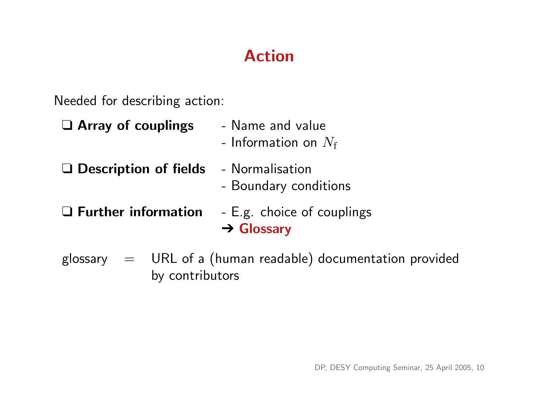# Action

Needed for describing action:

| $\Box$ Array of couplings  | - Name and value<br>- Information on $N_{\rm f}$              |
|----------------------------|---------------------------------------------------------------|
| □ Description of fields    | - Normalisation<br>- Boundary conditions                      |
| $\Box$ Further information | - E.g. choice of couplings<br>$\rightarrow$ Glossary          |
|                            | glossary $=$ URL of a (human readable) documentation provided |

by contributors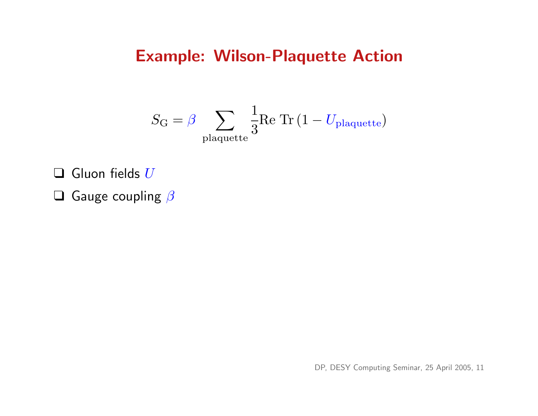### Example: Wilson-Plaquette Action

$$
S_{\rm G} = \beta \sum_{\rm plaquette} \frac{1}{3} \textrm{Re Tr} \left( 1 - U_{\rm plaquette} \right)
$$

 $\Box$  Gluon fields  $U$ 

 $\Box$  Gauge coupling  $\beta$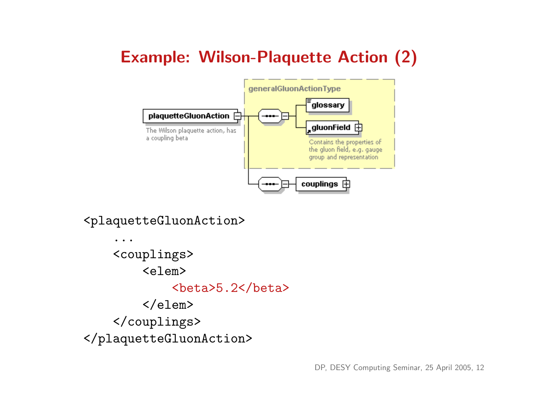# Example: Wilson-Plaquette Action (2)



<plaquetteGluonAction>

... <couplings> <elem>  $>5.2$  $**beta**$  $\langle$ /elem $\rangle$ </couplings> </plaquetteGluonAction>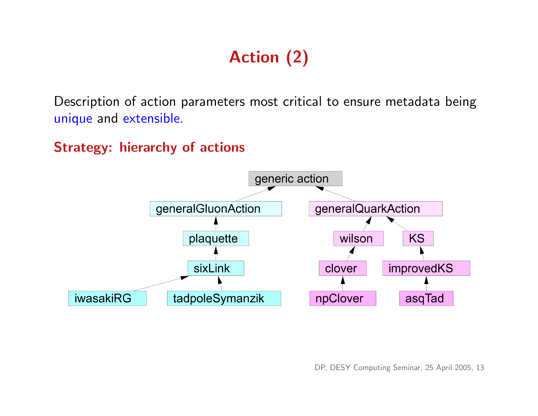# Action (2)

Description of action parameters most critical to ensure metadata being unique and extensible.

Strategy: hierarchy of actions

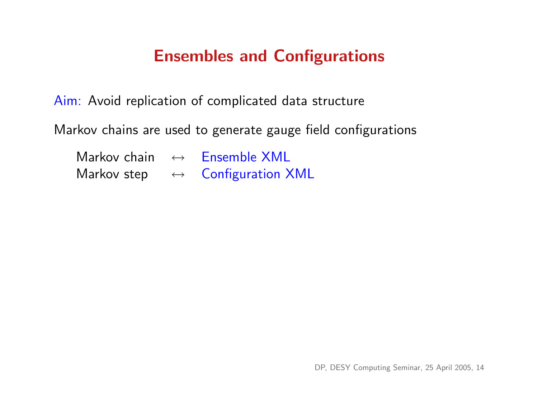## Ensembles and Configurations

Aim: Avoid replication of complicated data structure

Markov chains are used to generate gauge field configurations

| Markov chain | $\leftrightarrow$ | <b>Ensemble XML</b>      |
|--------------|-------------------|--------------------------|
| Markov step  |                   | <b>Configuration XML</b> |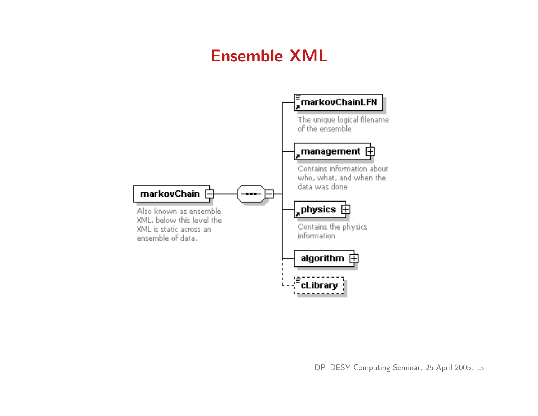# Ensemble XML

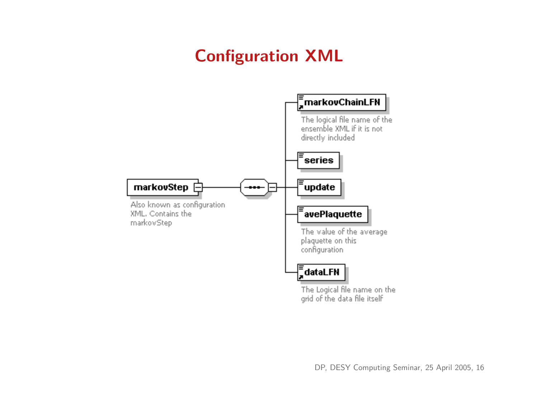# Configuration XML

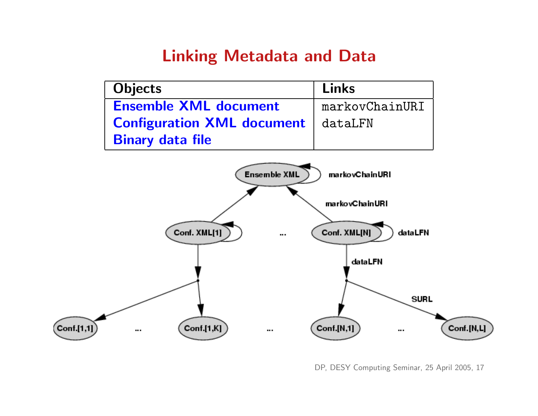### Linking Metadata and Data

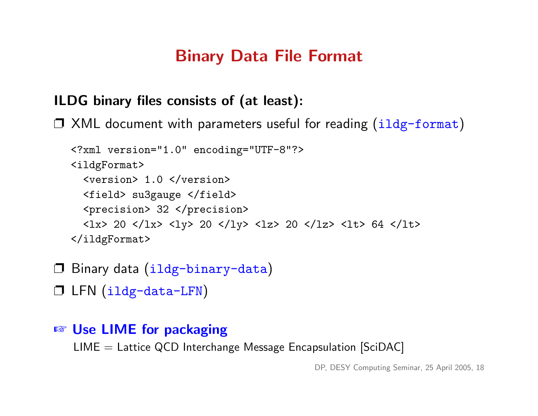## Binary Data File Format

#### ILDG binary files consists of (at least):

❐ XML document with parameters useful for reading (ildg-format)

```
<?xml version="1.0" encoding="UTF-8"?>
<ildgFormat>
  <version> 1.0 </version>
  <field> su3gauge </field>
  <precision> 32 </precision>
  <lx> 20 </lx> <ly> 20 </ly> <lz> 20 </lz> <lt> 64 </lt>
</ildgFormat>
```
- ❐ Binary data (ildg-binary-data)
- ❐ LFN (ildg-data-LFN)

```
■ Use LIME for packaging
```
 $LIME = Lattice QCD$  Interchange Message Encapsulation [SciDAC]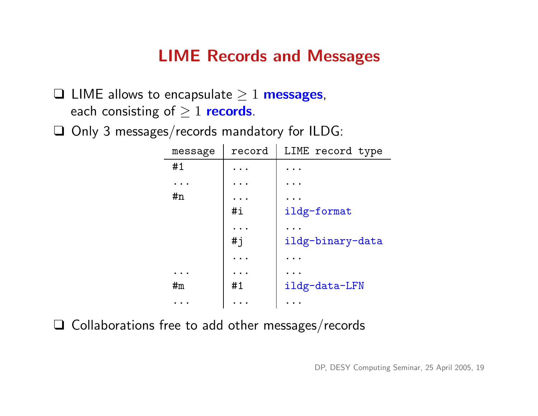## LIME Records and Messages

 $\Box$  LIME allows to encapsulate  $\geq 1$  messages, each consisting of  $\geq 1$  records.

❑ Only 3 messages/records mandatory for ILDG:

| message | record               | LIME record type |
|---------|----------------------|------------------|
| #1      |                      |                  |
|         |                      |                  |
| #n      | $\ddot{\phantom{a}}$ |                  |
|         | $\#$ i               | ildg-format      |
|         |                      |                  |
|         | $\# j$               | ildg-binary-data |
|         |                      |                  |
|         |                      |                  |
| #m      | #1                   | ildg-data-LFN    |
|         |                      |                  |

❑ Collaborations free to add other messages/records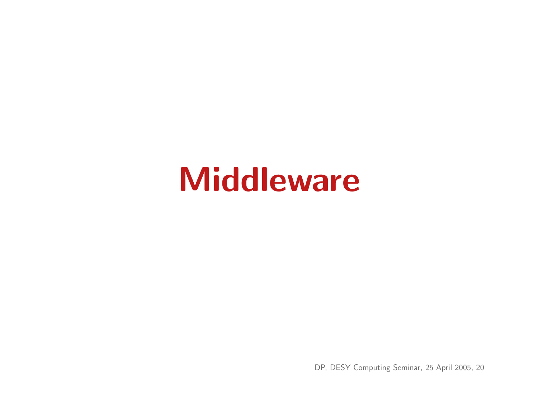# Middleware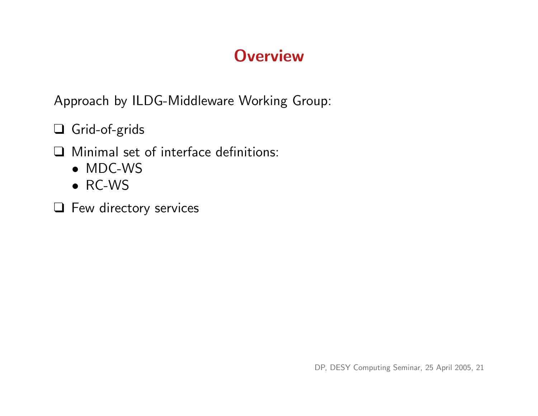# **Overview**

Approach by ILDG-Middleware Working Group:

❑ Grid-of-grids

❑ Minimal set of interface definitions:

- MDC-WS
- RC-WS
- ❑ Few directory services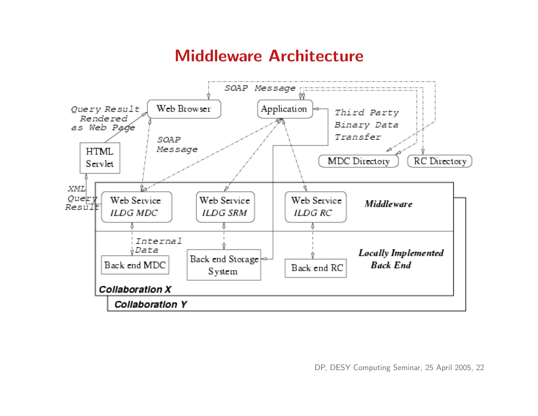### Middleware Architecture

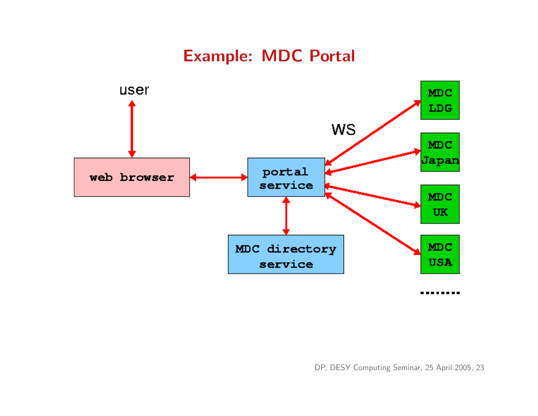## Example: MDC Portal

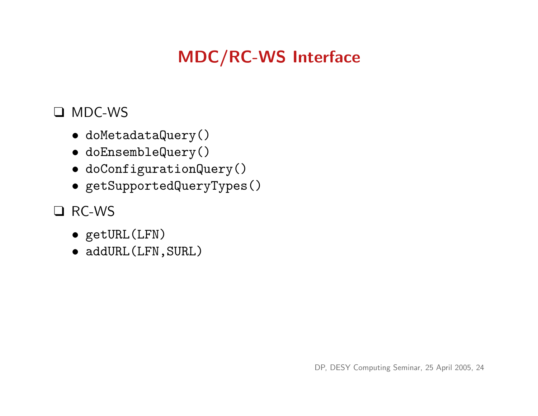# MDC/RC-WS Interface

#### ❑ MDC-WS

- doMetadataQuery()
- doEnsembleQuery()
- doConfigurationQuery()
- getSupportedQueryTypes()

#### ❑ RC-WS

- getURL(LFN)
- addURL(LFN,SURL)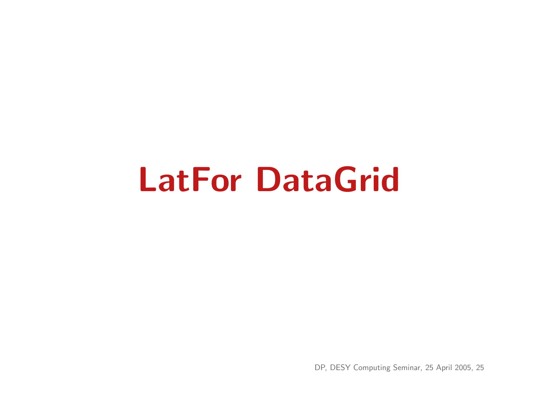# LatFor DataGrid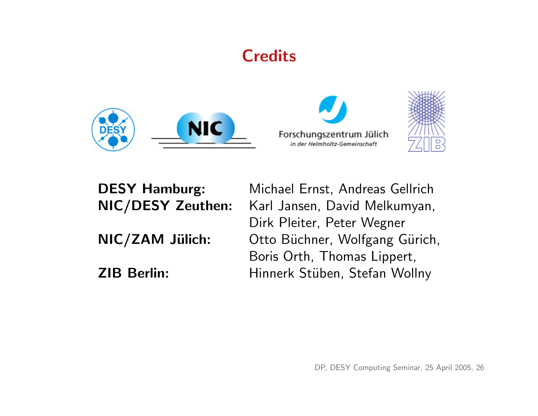## **Credits**







DESY Hamburg: Michael Ernst, Andreas Gellrich NIC/DESY Zeuthen: Karl Jansen, David Melkumyan, Dirk Pleiter, Peter Wegner NIC/ZAM Jülich: Otto Büchner, Wolfgang Gürich, Boris Orth, Thomas Lippert, ZIB Berlin: Hinnerk Stüben, Stefan Wollny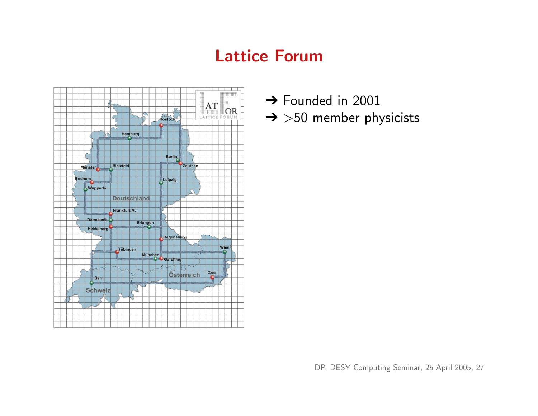## Lattice Forum



- → Founded in 2001
- $\rightarrow$  >50 member physicists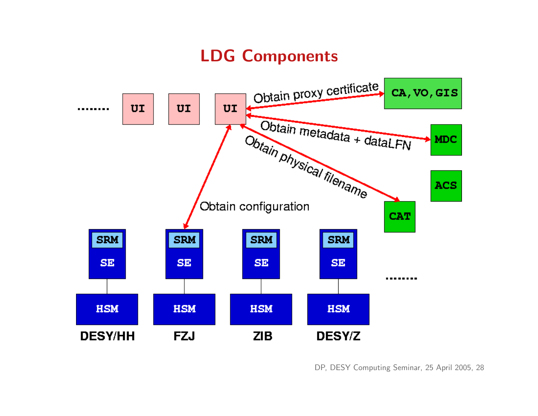# LDG Components

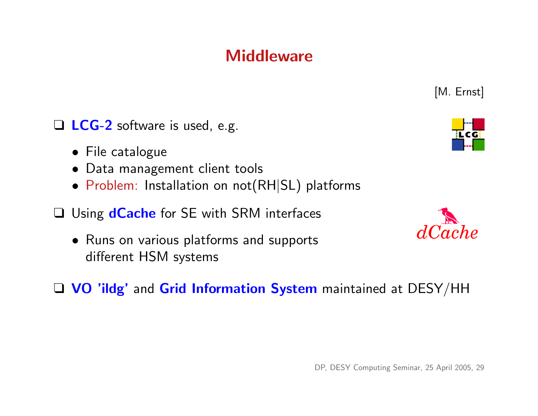### **Middleware**

□ LCG-2 software is used, e.g.

- File catalogue
- Data management client tools
- Problem: Installation on not(RH|SL) platforms
- □ Using **dCache** for SE with SRM interfaces
	- Runs on various platforms and supports different HSM systems
- □ VO 'ildg' and Grid Information System maintained at DESY/HH



[M. Ernst]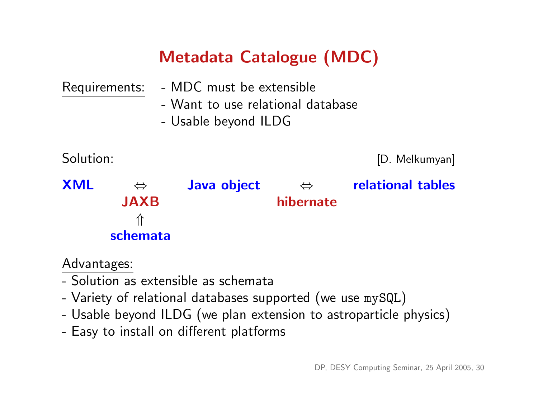# Metadata Catalogue (MDC)

| Requirements: |                   | - MDC must be extensible                                  |                   |                   |
|---------------|-------------------|-----------------------------------------------------------|-------------------|-------------------|
|               |                   | - Want to use relational database<br>- Usable beyond ILDG |                   |                   |
| Solution:     |                   |                                                           |                   | [D. Melkumyan]    |
| <b>XML</b>    | $\Leftrightarrow$ | Java object                                               | $\Leftrightarrow$ | relational tables |
|               | <b>JAXB</b>       |                                                           | hibernate         |                   |
|               | 介                 |                                                           |                   |                   |
|               | schemata          |                                                           |                   |                   |

#### Advantages:

- Solution as extensible as schemata
- Variety of relational databases supported (we use mySQL)
- Usable beyond ILDG (we plan extension to astroparticle physics)
- Easy to install on different platforms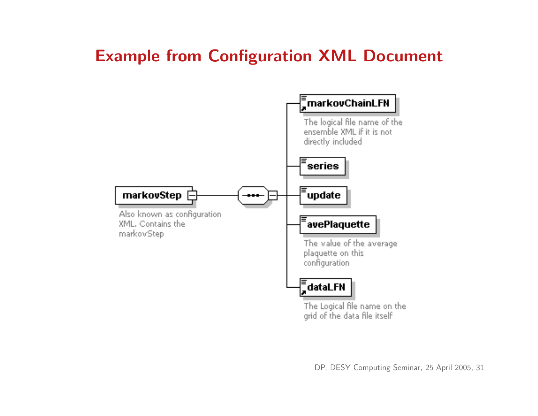## Example from Configuration XML Document

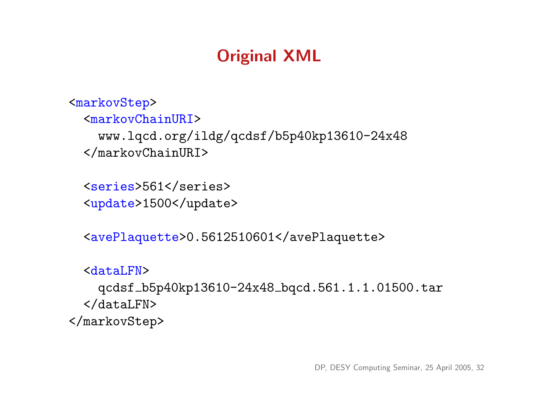# Original XML

```
<markovStep>
  <markovChainURI>
    www.lqcd.org/ildg/qcdsf/b5p40kp13610-24x48
  </markovChainURI>
```
<series>561</series> <update>1500</update>

<avePlaquette>0.5612510601</avePlaquette>

```
<dataLFN>
    qcdsf b5p40kp13610-24x48 bqcd.561.1.1.01500.tar
  </dataLFN>
</markovStep>
```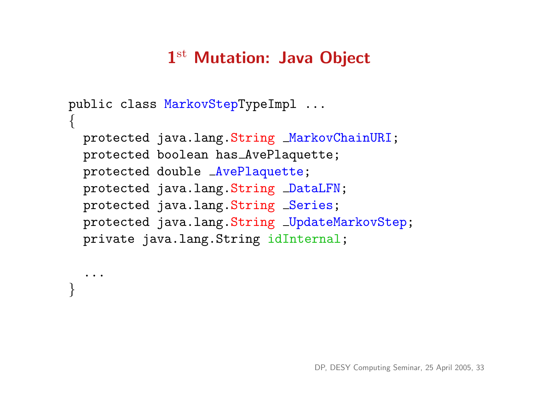# 1st Mutation: Java Object

```
public class MarkovStepTypeImpl ...
{
  protected java.lang.String MarkovChainURI;
  protected boolean has AvePlaquette;
  protected double AvePlaquette;
  protected java.lang.String DataLFN;
  protected java.lang.String _Series;
  protected java.lang.String _UpdateMarkovStep;
  private java.lang.String idInternal;
```
...

}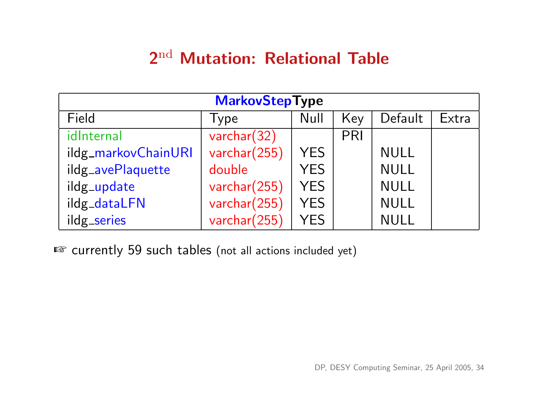# 2nd Mutation: Relational Table

| <b>MarkovStepType</b> |              |            |     |             |       |
|-----------------------|--------------|------------|-----|-------------|-------|
| Field                 | Type         | Null       | Key | Default     | Extra |
| idInternal            | varchar(32)  |            | PRI |             |       |
| ildg_markovChainURI   | varchar(255) | <b>YES</b> |     | <b>NULL</b> |       |
| ildg_avePlaquette     | double       | <b>YES</b> |     | <b>NULL</b> |       |
| ildg_update           | varchar(255) | <b>YES</b> |     | <b>NULL</b> |       |
| ildg_dataLFN          | varchar(255) | <b>YES</b> |     | <b>NULL</b> |       |
| ildg_series           | varchar(255) | <b>YES</b> |     | <b>NULL</b> |       |

■ currently 59 such tables (not all actions included yet)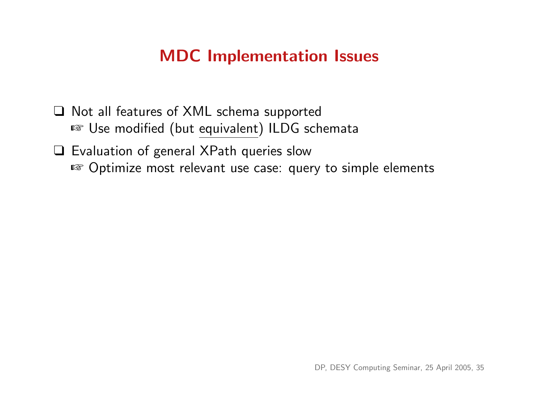## MDC Implementation Issues

❑ Not all features of XML schema supported ■ Use modified (but equivalent) ILDG schemata

❑ Evaluation of general XPath queries slow ☞ Optimize most relevant use case: query to simple elements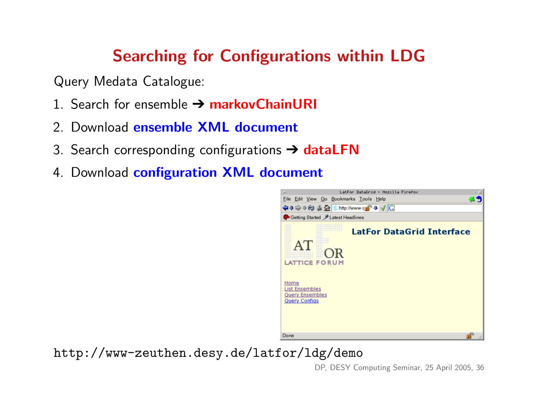# Searching for Configurations within LDG

Query Medata Catalogue:

- 1. Search for ensemble  $\rightarrow$  markovChainURI
- 2. Download ensemble XML document
- 3. Search corresponding configurations  $\rightarrow$  dataLFN
- 4. Download configuration XML document



http://www-zeuthen.desy.de/latfor/ldg/demo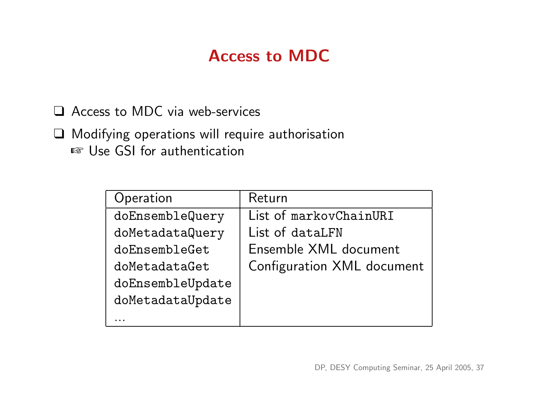## Access to MDC

❑ Access to MDC via web-services

❑ Modifying operations will require authorisation ■ Use GSI for authentication

| Operation        | Return                     |
|------------------|----------------------------|
| doEnsembleQuery  | List of markovChainURI     |
| doMetadataQuery  | List of dataLFN            |
| doEnsembleGet    | Ensemble XML document      |
| doMetadataGet    | Configuration XML document |
| doEnsembleUpdate |                            |
| doMetadataUpdate |                            |
|                  |                            |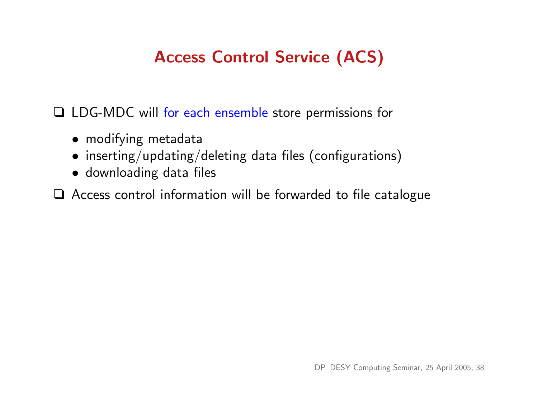# Access Control Service (ACS)

❑ LDG-MDC will for each ensemble store permissions for

- modifying metadata
- inserting/updating/deleting data files (configurations)
- downloading data files

❑ Access control information will be forwarded to file catalogue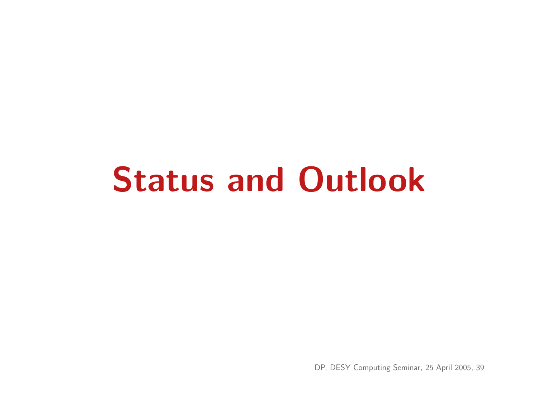# Status and Outlook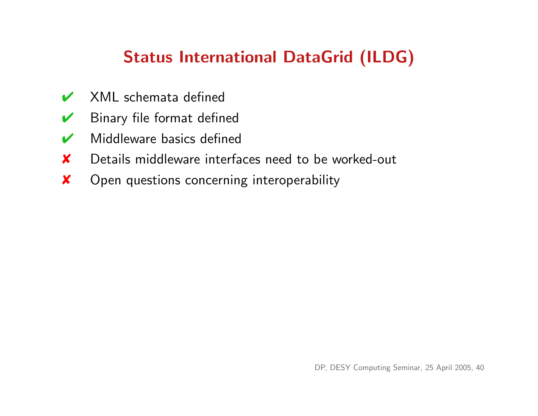# Status International DataGrid (ILDG)

- $\overrightarrow{V}$  XML schemata defined
- $\triangleright$  Binary file format defined
- $\vee$  Middleware basics defined
- ✘ Details middleware interfaces need to be worked-out
- ✘ Open questions concerning interoperability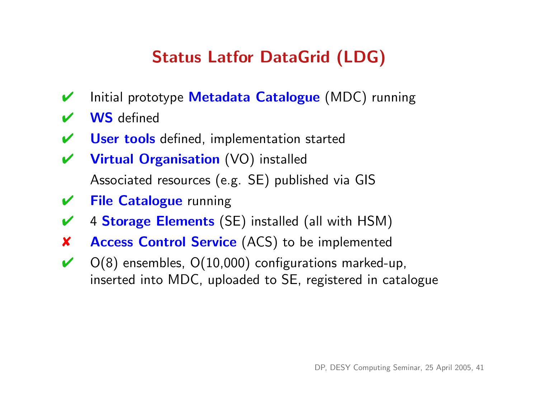# Status Latfor DataGrid (LDG)

- Initial prototype Metadata Catalogue (MDC) running
- **WS** defined
- User tools defined, implementation started
- ✔ Virtual Organisation (VO) installed Associated resources (e.g. SE) published via GIS
- ✔ File Catalogue running
- $\checkmark$  4 Storage Elements (SE) installed (all with HSM)
- ✘ Access Control Service (ACS) to be implemented
- $\vee$  O(8) ensembles, O(10,000) configurations marked-up, inserted into MDC, uploaded to SE, registered in catalogue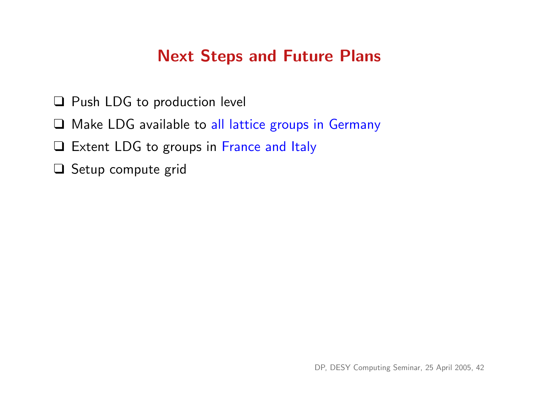## Next Steps and Future Plans

- ❑ Push LDG to production level
- □ Make LDG available to all lattice groups in Germany
- □ Extent LDG to groups in France and Italy
- ❑ Setup compute grid